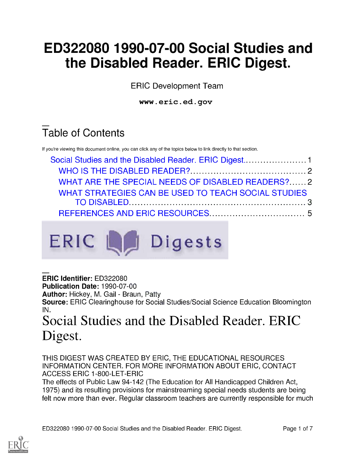# ED322080 1990-07-00 Social Studies and the Disabled Reader. ERIC Digest.

ERIC Development Team

www.eric.ed.gov

## Table of Contents

If you're viewing this document online, you can click any of the topics below to link directly to that section.

| WHAT ARE THE SPECIAL NEEDS OF DISABLED READERS?2    |  |
|-----------------------------------------------------|--|
| WHAT STRATEGIES CAN BE USED TO TEACH SOCIAL STUDIES |  |
|                                                     |  |
|                                                     |  |



ERIC Identifier: ED322080

Publication Date: 1990-07-00

**Author:** Hickey, M. Gail - Braun, Patty

Source: ERIC Clearinghouse for Social Studies/Social Science Education Bloomington IN.

### Social Studies and the Disabled Reader. ERIC Digest.

THIS DIGEST WAS CREATED BY ERIC, THE EDUCATIONAL RESOURCES INFORMATION CENTER. FOR MORE INFORMATION ABOUT ERIC, CONTACT ACCESS ERIC 1-800-LET-ERIC

The effects of Public Law 94-142 (The Education for All Handicapped Children Act, 1975) and its resulting provisions for mainstreaming special needs students are being felt now more than ever. Regular classroom teachers are currently responsible for much

ED322080 1990-07-00 Social Studies and the Disabled Reader. ERIC Digest. Page 1 of 7

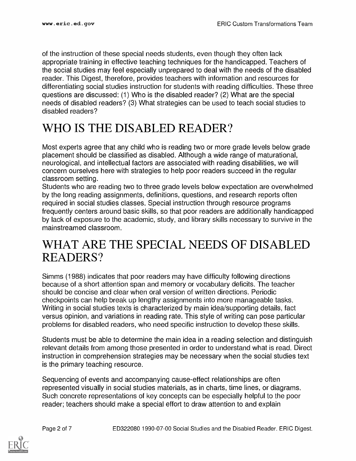of the instruction of these special needs students, even though they often lack appropriate training in effective teaching techniques for the handicapped. Teachers of the social studies may feel especially unprepared to deal with the needs of the disabled reader. This Digest, therefore, provides teachers with information and resources for differentiating social studies instruction for students with reading difficulties. These three questions are discussed: (1) Who is the disabled reader? (2) What are the special needs of disabled readers? (3) What strategies can be used to teach social studies to disabled readers?

### WHO IS THE DISABLED READER?

Most experts agree that any child who is reading two or more grade levels below grade placement should be classified as disabled. Although a wide range of maturational, neurological, and intellectual factors are associated with reading disabilities, we will concern ourselves here with strategies to help poor readers succeed in the regular classroom setting.

Students who are reading two to three grade levels below expectation are overwhelmed by the long reading assignments, definitions, questions, and research reports often required in social studies classes. Special instruction through resource programs frequently centers around basic skills, so that poor readers are additionally handicapped by lack of exposure to the academic, study, and library skills necessary to survive in the mainstreamed classroom.

#### WHAT ARE THE SPECIAL NEEDS OF DISABLED READERS?

Simms (1988) indicates that poor readers may have difficulty following directions because of a short attention span and memory or vocabulary deficits. The teacher should be concise and clear when oral version of written directions. Periodic checkpoints can help break up lengthy assignments into more manageable tasks. Writing in social studies texts is characterized by main idea/supporting details, fact versus opinion, and variations in reading rate. This style of writing can pose particular problems for disabled readers, who need specific instruction to develop these skills.

Students must be able to determine the main idea in a reading selection and distinguish relevant details from among those presented in order to understand what is read. Direct instruction in comprehension strategies may be necessary when the social studies text is the primary teaching resource.

Sequencing of events and accompanying cause-effect relationships are often represented visually in social studies materials, as in charts, time lines, or diagrams. Such concrete representations of key concepts can be especially helpful to the poor reader; teachers should make a special effort to draw attention to and explain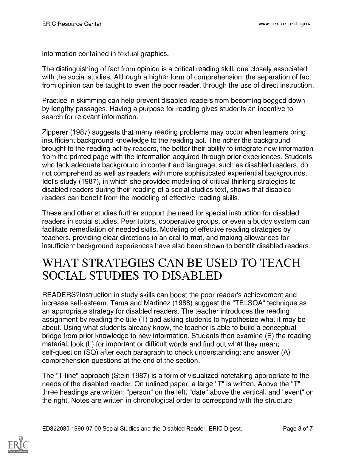information contained in textual graphics.

The distinguishing of fact from opinion is a critical reading skill, one closely associated with the social studies. Although a higher form of comprehension, the separation of fact from opinion can be taught to even the poor reader, through the use of direct instruction.

Practice in skimming can help prevent disabled readers from becoming bogged down by lengthy passages. Having a purpose for reading gives students an incentive to search for relevant information.

Zipperer (1987) suggests that many reading problems may occur when learners bring insufficient background knowledge to the reading act. The richer the background brought to the reading act by readers, the better their ability to integrate new information from the printed page with the information acquired through prior experiences. Students who lack adequate background in content and language, such as disabled readers, do not comprehend as well as readers with more sophisticated experiential backgrounds. Idol's study (1987), in which she provided modeling of critical thinking strategies to disabled readers during their reading of a social studies text, shows that disabled readers can benefit from the modeling of effective reading skills.

These and other studies further support the need for special instruction for disabled readers in social studies. Peer tutors, cooperative groups, or even a buddy system can facilitate remediation of needed skills. Modeling of effective reading strategies by teachers, providing clear directions in an oral format, and making allowances for insufficient background experiences have also been shown to benefit disabled readers.

#### WHAT STRATEGIES CAN BE USED TO TEACH SOCIAL STUDIES TO DISABLED

READERS?Instruction in study skills can boost the poor reader's achievement and increase self-esteem. Tama and Martinez (1988) suggest the "TELSQA" technique as an appropriate strategy for disabled readers. The teacher introduces the reading assignment by reading the title (T) and asking students to hypothesize what it may be about. Using what students already know, the teacher is able to build a conceptual bridge from prior knowledge to new information. Students then examine (E) the reading material; look (L) for important or difficult words and find out what they mean; self-question (SQ) after each paragraph to check understanding; and answer (A) comprehension questions at the end of the section.

The "T-line" approach (Stein 1987) is a form of visualized notetaking appropriate to the needs of the disabled reader. On unlined paper, a large "T" is written. Above the "T" three headings are written: "person" on the left, "date" above the vertical, and "event" on the right. Notes are written in chronological order to correspond with the structure

ED322080 1990-07-00 Social Studies and the Disabled Reader. ERIC Digest. Page 3 of 7

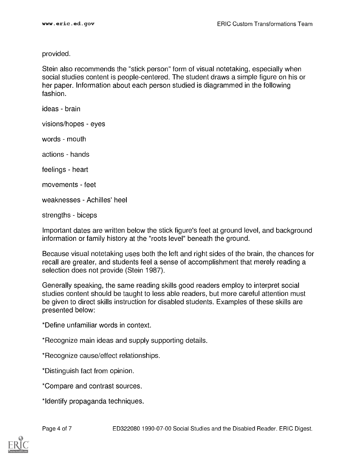provided.

Stein also recommends the "stick person" form of visual notetaking, especially when social studies content is people-centered. The student draws a simple figure on his or her paper. Information about each person studied is diagrammed in the following fashion.

ideas - brain

visions/hopes - eyes

words - mouth

actions - hands

feelings - heart

movements - feet

weaknesses - Achilles' heel

strengths - biceps

Important dates are written below the stick figure's feet at ground level, and background information or family history at the "roots level" beneath the ground.

Because visual notetaking uses both the left and right sides of the brain, the chances for recall are greater, and students feel a sense of accomplishment that merely reading a selection does not provide (Stein 1987).

Generally speaking, the same reading skills good readers employ to interpret social studies content should be taught to less able readers, but more careful attention must be given to direct skills instruction for disabled students. Examples of these skills are presented below:

\*Define unfamiliar words in context.

\*Recognize main ideas and supply supporting details.

\*Recognize cause/effect relationships.

\*Distinguish fact from opinion.

\*Compare and contrast sources.

\*Identify propaganda techniques.

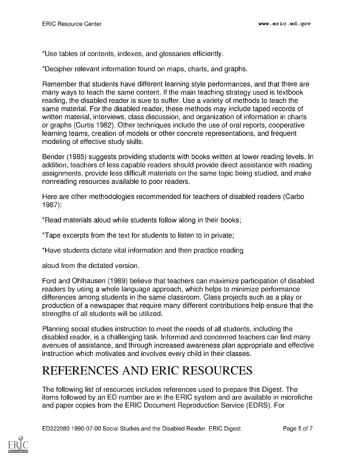\*Use tables of contents, indexes, and glossaries efficiently.

\*Decipher relevant information found on maps, charts, and graphs.

Remember that students have different learning style performances, and that there are many ways to teach the same content. If the main teaching strategy used is textbook reading, the disabled reader is sure to suffer. Use a variety of methods to teach the same material. For the disabled reader, these methods may include taped records of written material, interviews, class discussion, and organization of information in charts or graphs (Curtis 1982). Other techniques include the use of oral reports, cooperative learning teams, creation of models or other concrete representations, and frequent modeling of effective study skills.

Bender (1985) suggests providing students with books written at lower reading levels. In addition, teachers of less capable readers should provide direct assistance with reading assignments, provide less difficult materials on the same topic being studied, and make nonreading resources available to poor readers.

Here are other methodologies recommended for teachers of disabled readers (Carbo 1987):

\*Read materials aloud while students follow along in their books;

\*Tape excerpts from the text for students to listen to in private;

\*Have students dictate vital information and then practice reading

aloud from the dictated version.

Ford and Ohlhausen (1989) believe that teachers can maximize participation of disabled readers by using a whole language approach, which helps to minimize performance differences among students in the same classroom. Class projects such as a play or production of a newspaper that require many different contributions help ensure that the strengths of all students will be utilized.

Planning social studies instruction to meet the needs of all students, including the disabled reader, is a challenging task. Informed and concerned teachers can find many avenues of assistance, and through increased awareness plan appropriate and effective instruction which motivates and involves every child in their classes.

### REFERENCES AND ERIC RESOURCES

The following list of resources includes references used to prepare this Digest. The items followed by an ED number are in the ERIC system and are available in microfiche and paper copies from the ERIC Document Reproduction Service (EDRS). For



ED322080 1990-07-00 Social Studies and the Disabled Reader. ERIC Digest. Page 5 of 7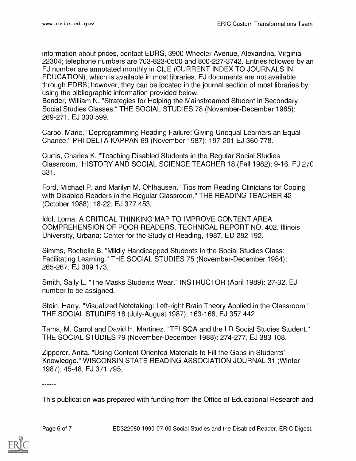information about prices, contact EDRS, 3900 Wheeler Avenue, Alexandria, Virginia 22304; telephone numbers are 703-823-0500 and 800-227-3742. Entries followed by an EJ number are annotated monthly in CIJE (CURRENT INDEX TO JOURNALS IN EDUCATION), which is available in most libraries. EJ documents are not available through EDRS; however, they can be located in the journal section of most libraries by using the bibliographic information provided below.

Bender, William N. "Strategies for Helping the Mainstreamed Student in Secondary Social Studies Classes." THE SOCIAL STUDIES 78 (November-December 1985): 269-271. EJ 330 599.

Carbo, Marie. "Deprogramming Reading Failure: Giving Unequal Learners an Equal Chance." PHI DELTA KAPPAN 69 (November 1987): 197-201 EJ 360 778.

Curtis, Charles K. "Teaching Disabled Students in the Regular Social Studies Classroom." HISTORY AND SOCIAL SCIENCE TEACHER 18 (Fall 1982): 9-16. EJ 270 331

Ford, Michael P. and Marilyn M. Ohlhausen. "Tips from Reading Clinicians for Coping with Disabled Readers in the Regular Classroom." THE READING TEACHER 42 (October 1988): 18-22. EJ 377 453.

Idol, Lorna. A CRITICAL THINKING MAP TO IMPROVE CONTENT AREA COMPREHENSION OF POOR READERS. TECHNICAL REPORT NO. 402. Illinois University, Urbana: Center for the Study of Reading, 1987. ED 282 192.

Simms, Rochelle B. "Mildly Handicapped Students in the Social Studies Class: Facilitating Learning." THE SOCIAL STUDIES 75 (November-December 1984): 265-267. EJ 309 173.

Smith, Sally L. "The Masks Students Wear." INSTRUCTOR (April 1989): 27-32. EJ number to be assigned.

Stein, Harry. "Visualized Notetaking: Left-right Brain Theory Applied in the Classroom." THE SOCIAL STUDIES 18 (July-August 1987): 163-168. EJ 357 442.

Tama, M. Carrol and David H. Martinez. "TELSQA and the LD Social Studies Student." THE SOCIAL STUDIES 79 (November-December 1988): 274-277. EJ 383 108.

Zipperer, Anita. "Using Content-Oriented Materials to Fill the Gaps in Students' Knowledge." WISCONSIN STATE READING ASSOCIATION JOURNAL 31 (Winter 1987): 45-48. EJ 371 795.

<u> - - - - - -</u>

This publication was prepared with funding from the Office of Educational Research and